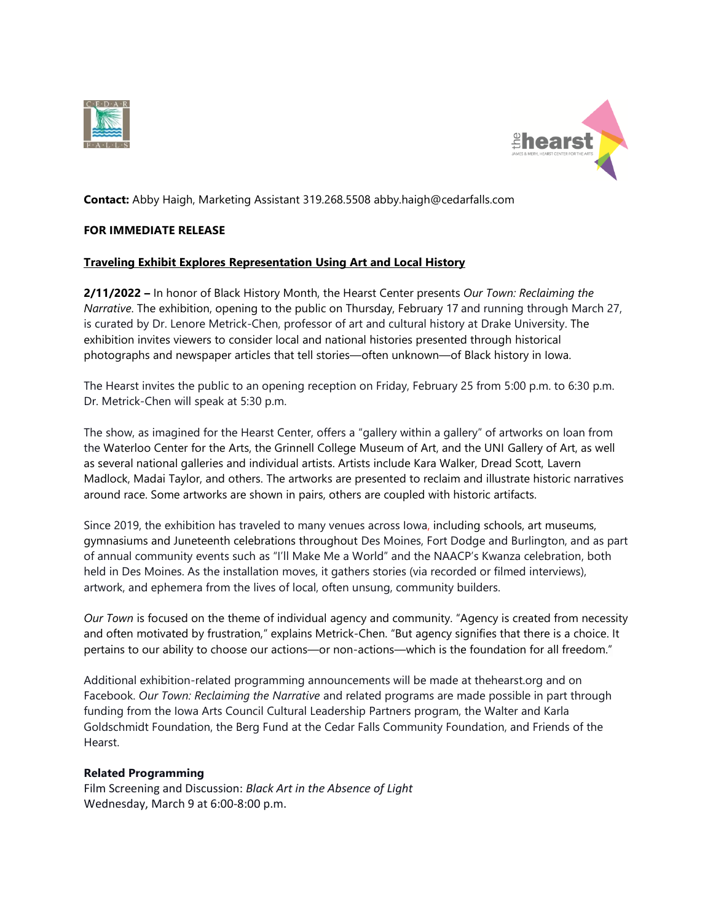



**Contact:** Abby Haigh, Marketing Assistant 319.268.5508 abby.haigh@cedarfalls.com

## **FOR IMMEDIATE RELEASE**

## **Traveling Exhibit Explores Representation Using Art and Local History**

**2/11/2022 –** In honor of Black History Month, the Hearst Center presents *Our Town: Reclaiming the Narrative*. The exhibition, opening to the public on Thursday, February 17 and running through March 27, is curated by Dr. Lenore Metrick-Chen, professor of art and cultural history at Drake University. The exhibition invites viewers to consider local and national histories presented through historical photographs and newspaper articles that tell stories—often unknown—of Black history in Iowa.

The Hearst invites the public to an opening reception on Friday, February 25 from 5:00 p.m. to 6:30 p.m. Dr. Metrick-Chen will speak at 5:30 p.m.

The show, as imagined for the Hearst Center, offers a "gallery within a gallery" of artworks on loan from the Waterloo Center for the Arts, the Grinnell College Museum of Art, and the UNI Gallery of Art, as well as several national galleries and individual artists. Artists include Kara Walker, Dread Scott, Lavern Madlock, Madai Taylor, and others. The artworks are presented to reclaim and illustrate historic narratives around race. Some artworks are shown in pairs, others are coupled with historic artifacts.

Since 2019, the exhibition has traveled to many venues across Iowa, including schools, art museums, gymnasiums and Juneteenth celebrations throughout Des Moines, Fort Dodge and Burlington, and as part of annual community events such as "I'll Make Me a World" and the NAACP's Kwanza celebration, both held in Des Moines. As the installation moves, it gathers stories (via recorded or filmed interviews), artwork, and ephemera from the lives of local, often unsung, community builders.

*Our Town* is focused on the theme of individual agency and community. "Agency is created from necessity and often motivated by frustration," explains Metrick-Chen. "But agency signifies that there is a choice. It pertains to our ability to choose our actions—or non-actions—which is the foundation for all freedom."

Additional exhibition-related programming announcements will be made at thehearst.org and on Facebook. *Our Town: Reclaiming the Narrative* and related programs are made possible in part through funding from the Iowa Arts Council Cultural Leadership Partners program, the Walter and Karla Goldschmidt Foundation, the Berg Fund at the Cedar Falls Community Foundation, and Friends of the Hearst.

## **Related Programming**

Film Screening and Discussion: *Black Art in the Absence of Light* Wednesday, March 9 at 6:00-8:00 p.m.